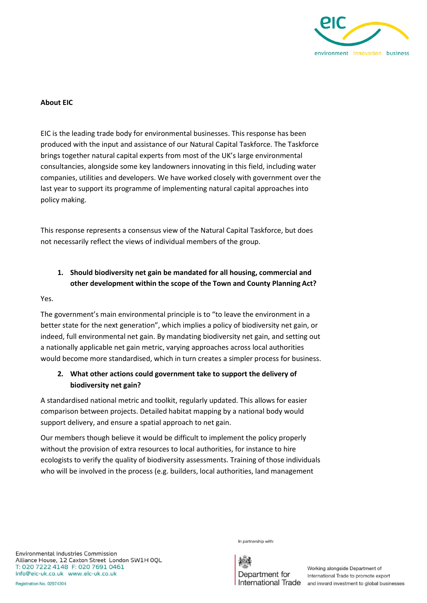

#### **About EIC**

EIC is the leading trade body for environmental businesses. This response has been produced with the input and assistance of our Natural Capital Taskforce. The Taskforce brings together natural capital experts from most of the UK's large environmental consultancies, alongside some key landowners innovating in this field, including water companies, utilities and developers. We have worked closely with government over the last year to support its programme of implementing natural capital approaches into policy making.

This response represents a consensus view of the Natural Capital Taskforce, but does not necessarily reflect the views of individual members of the group.

# **1. Should biodiversity net gain be mandated for all housing, commercial and other development within the scope of the Town and County Planning Act?**

Yes.

The government's main environmental principle is to "to leave the environment in a better state for the next generation", which implies a policy of biodiversity net gain, or indeed, full environmental net gain. By mandating biodiversity net gain, and setting out a nationally applicable net gain metric, varying approaches across local authorities would become more standardised, which in turn creates a simpler process for business.

# **2. What other actions could government take to support the delivery of biodiversity net gain?**

A standardised national metric and toolkit, regularly updated. This allows for easier comparison between projects. Detailed habitat mapping by a national body would support delivery, and ensure a spatial approach to net gain.

Our members though believe it would be difficult to implement the policy properly without the provision of extra resources to local authorities, for instance to hire ecologists to verify the quality of biodiversity assessments. Training of those individuals who will be involved in the process (e.g. builders, local authorities, land management

In partnership with:



Working alongside Department of International Trade to promote export International Trade and inward investment to global businesses

Environmental Industries Commission Alliance House, 12 Caxton Street London SW1H OQL T: 020 7222 4148 F: 020 7691 0461 info@eic-uk.co.uk www.eic-uk.co.uk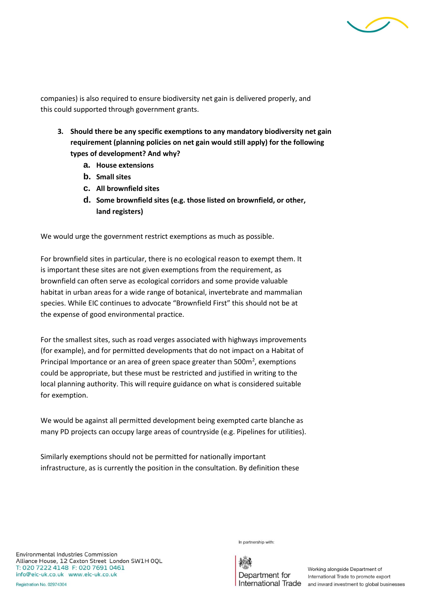

companies) is also required to ensure biodiversity net gain is delivered properly, and this could supported through government grants.

- **3. Should there be any specific exemptions to any mandatory biodiversity net gain requirement (planning policies on net gain would still apply) for the following types of development? And why?**
	- **a. House extensions**
	- **b. Small sites**
	- **c. All brownfield sites**
	- **d. Some brownfield sites (e.g. those listed on brownfield, or other, land registers)**

We would urge the government restrict exemptions as much as possible.

For brownfield sites in particular, there is no ecological reason to exempt them. It is important these sites are not given exemptions from the requirement, as brownfield can often serve as ecological corridors and some provide valuable habitat in urban areas for a wide range of botanical, invertebrate and mammalian species. While EIC continues to advocate "Brownfield First" this should not be at the expense of good environmental practice.

For the smallest sites, such as road verges associated with highways improvements (for example), and for permitted developments that do not impact on a Habitat of Principal Importance or an area of green space greater than  $500m^2$ , exemptions could be appropriate, but these must be restricted and justified in writing to the local planning authority. This will require guidance on what is considered suitable for exemption.

We would be against all permitted development being exempted carte blanche as many PD projects can occupy large areas of countryside (e.g. Pipelines for utilities).

Similarly exemptions should not be permitted for nationally important infrastructure, as is currently the position in the consultation. By definition these

In partnership with:

Environmental Industries Commission Alliance House, 12 Caxton Street London SW1H OQL T: 020 7222 4148 F: 020 7691 0461 info@eic-uk.co.uk www.eic-uk.co.uk

Department for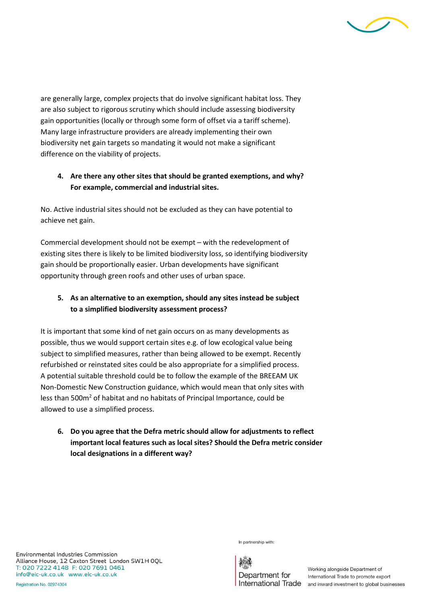

are generally large, complex projects that do involve significant habitat loss. They are also subject to rigorous scrutiny which should include assessing biodiversity gain opportunities (locally or through some form of offset via a tariff scheme). Many large infrastructure providers are already implementing their own biodiversity net gain targets so mandating it would not make a significant difference on the viability of projects.

## **4. Are there any other sites that should be granted exemptions, and why? For example, commercial and industrial sites.**

No. Active industrial sites should not be excluded as they can have potential to achieve net gain.

Commercial development should not be exempt – with the redevelopment of existing sites there is likely to be limited biodiversity loss, so identifying biodiversity gain should be proportionally easier. Urban developments have significant opportunity through green roofs and other uses of urban space.

# **5. As an alternative to an exemption, should any sites instead be subject to a simplified biodiversity assessment process?**

It is important that some kind of net gain occurs on as many developments as possible, thus we would support certain sites e.g. of low ecological value being subject to simplified measures, rather than being allowed to be exempt. Recently refurbished or reinstated sites could be also appropriate for a simplified process. A potential suitable threshold could be to follow the example of the BREEAM UK Non-Domestic New Construction guidance, which would mean that only sites with less than 500m<sup>2</sup> of habitat and no habitats of Principal Importance, could be allowed to use a simplified process.

**6. Do you agree that the Defra metric should allow for adjustments to reflect important local features such as local sites? Should the Defra metric consider local designations in a different way?**

Environmental Industries Commission Alliance House, 12 Caxton Street London SW1H OQL T: 020 7222 4148 F: 020 7691 0461 info@eic-uk.co.uk www.eic-uk.co.uk

In partnership with:

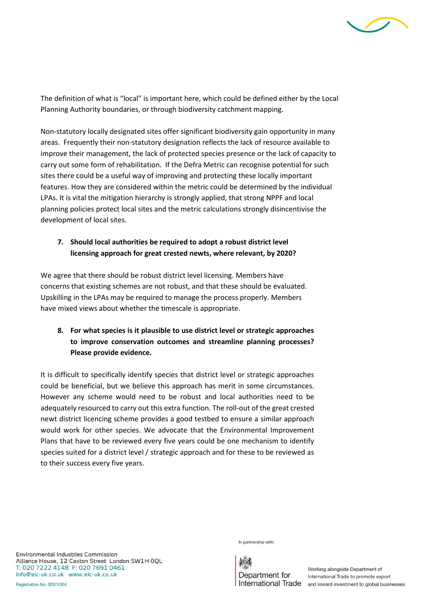

The definition of what is "local" is important here, which could be defined either by the Local Planning Authority boundaries, or through biodiversity catchment mapping.

Non-statutory locally designated sites offer significant biodiversity gain opportunity in many areas. Frequently their non-statutory designation reflects the lack of resource available to improve their management, the lack of protected species presence or the lack of capacity to carry out some form of rehabilitation. If the Defra Metric can recognise potential for such sites there could be a useful way of improving and protecting these locally important features. How they are considered within the metric could be determined by the individual LPAs. It is vital the mitigation hierarchy is strongly applied, that strong NPPF and local planning policies protect local sites and the metric calculations strongly disincentivise the development of local sites.

### **7. Should local authorities be required to adopt a robust district level licensing approach for great crested newts, where relevant, by 2020?**

We agree that there should be robust district level licensing. Members have concerns that existing schemes are not robust, and that these should be evaluated. Upskilling in the LPAs may be required to manage the process properly. Members have mixed views about whether the timescale is appropriate.

# **8. For what species is it plausible to use district level or strategic approaches to improve conservation outcomes and streamline planning processes? Please provide evidence.**

It is difficult to specifically identify species that district level or strategic approaches could be beneficial, but we believe this approach has merit in some circumstances. However any scheme would need to be robust and local authorities need to be adequately resourced to carry out this extra function. The roll-out of the great crested newt district licencing scheme provides a good testbed to ensure a similar approach would work for other species. We advocate that the Environmental Improvement Plans that have to be reviewed every five years could be one mechanism to identify species suited for a district level / strategic approach and for these to be reviewed as to their success every five years.

In partnership with:

Department for

Working alongside Department of International Trade to promote export International Trade and inward investment to global businesses

Environmental Industries Commission Alliance House, 12 Caxton Street London SW1H OQL T: 020 7222 4148 F: 020 7691 0461 info@eic-uk.co.uk www.eic-uk.co.uk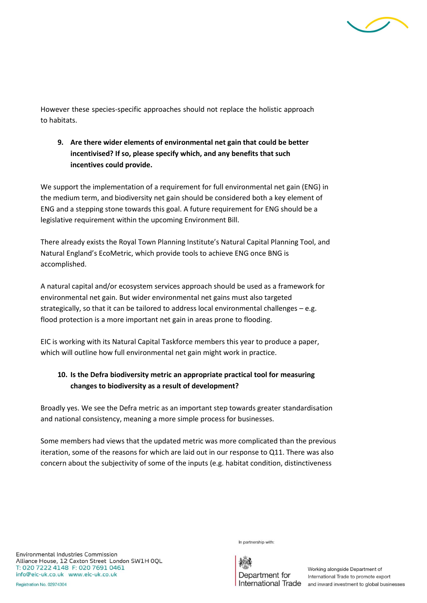

However these species-specific approaches should not replace the holistic approach to habitats.

**9. Are there wider elements of environmental net gain that could be better incentivised? If so, please specify which, and any benefits that such incentives could provide.**

We support the implementation of a requirement for full environmental net gain (ENG) in the medium term, and biodiversity net gain should be considered both a key element of ENG and a stepping stone towards this goal. A future requirement for ENG should be a legislative requirement within the upcoming Environment Bill.

There already exists the Royal Town Planning Institute's Natural Capital Planning Tool, and Natural England's EcoMetric, which provide tools to achieve ENG once BNG is accomplished.

A natural capital and/or ecosystem services approach should be used as a framework for environmental net gain. But wider environmental net gains must also targeted strategically, so that it can be tailored to address local environmental challenges – e.g. flood protection is a more important net gain in areas prone to flooding.

EIC is working with its Natural Capital Taskforce members this year to produce a paper, which will outline how full environmental net gain might work in practice.

# **10. Is the Defra biodiversity metric an appropriate practical tool for measuring changes to biodiversity as a result of development?**

Broadly yes. We see the Defra metric as an important step towards greater standardisation and national consistency, meaning a more simple process for businesses.

Some members had views that the updated metric was more complicated than the previous iteration, some of the reasons for which are laid out in our response to Q11. There was also concern about the subjectivity of some of the inputs (e.g. habitat condition, distinctiveness

In partnership with:

Department for

Working alongside Department of International Trade to promote export International Trade and inward investment to global businesses

Environmental Industries Commission Alliance House, 12 Caxton Street London SW1H OQL T: 020 7222 4148 F: 020 7691 0461 info@eic-uk.co.uk www.eic-uk.co.uk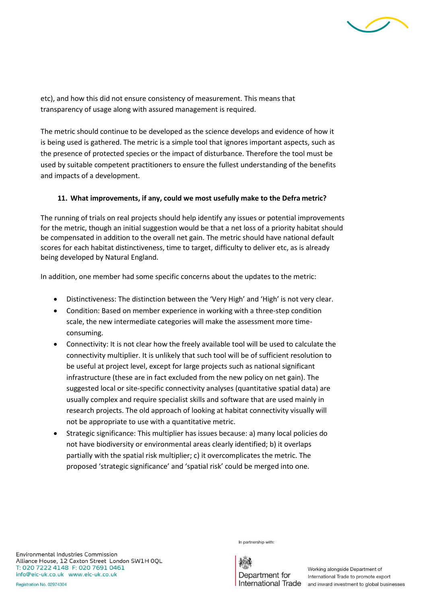

etc), and how this did not ensure consistency of measurement. This means that transparency of usage along with assured management is required.

The metric should continue to be developed as the science develops and evidence of how it is being used is gathered. The metric is a simple tool that ignores important aspects, such as the presence of protected species or the impact of disturbance. Therefore the tool must be used by suitable competent practitioners to ensure the fullest understanding of the benefits and impacts of a development.

#### **11. What improvements, if any, could we most usefully make to the Defra metric?**

The running of trials on real projects should help identify any issues or potential improvements for the metric, though an initial suggestion would be that a net loss of a priority habitat should be compensated in addition to the overall net gain. The metric should have national default scores for each habitat distinctiveness, time to target, difficulty to deliver etc, as is already being developed by Natural England.

In addition, one member had some specific concerns about the updates to the metric:

- Distinctiveness: The distinction between the 'Very High' and 'High' is not very clear.
- Condition: Based on member experience in working with a three-step condition scale, the new intermediate categories will make the assessment more timeconsuming.
- Connectivity: It is not clear how the freely available tool will be used to calculate the connectivity multiplier. It is unlikely that such tool will be of sufficient resolution to be useful at project level, except for large projects such as national significant infrastructure (these are in fact excluded from the new policy on net gain). The suggested local or site-specific connectivity analyses (quantitative spatial data) are usually complex and require specialist skills and software that are used mainly in research projects. The old approach of looking at habitat connectivity visually will not be appropriate to use with a quantitative metric.
- Strategic significance: This multiplier has issues because: a) many local policies do not have biodiversity or environmental areas clearly identified; b) it overlaps partially with the spatial risk multiplier; c) it overcomplicates the metric. The proposed 'strategic significance' and 'spatial risk' could be merged into one.

Environmental Industries Commission Alliance House, 12 Caxton Street London SW1H OQL T: 020 7222 4148 F: 020 7691 0461 info@eic-uk.co.uk www.eic-uk.co.uk

In partnership with:

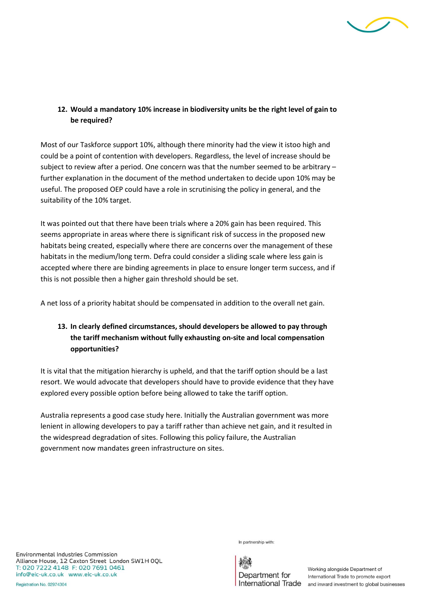

## **12. Would a mandatory 10% increase in biodiversity units be the right level of gain to be required?**

Most of our Taskforce support 10%, although there minority had the view it istoo high and could be a point of contention with developers. Regardless, the level of increase should be subject to review after a period. One concern was that the number seemed to be arbitrary – further explanation in the document of the method undertaken to decide upon 10% may be useful. The proposed OEP could have a role in scrutinising the policy in general, and the suitability of the 10% target.

It was pointed out that there have been trials where a 20% gain has been required. This seems appropriate in areas where there is significant risk of success in the proposed new habitats being created, especially where there are concerns over the management of these habitats in the medium/long term. Defra could consider a sliding scale where less gain is accepted where there are binding agreements in place to ensure longer term success, and if this is not possible then a higher gain threshold should be set.

A net loss of a priority habitat should be compensated in addition to the overall net gain.

# **13. In clearly defined circumstances, should developers be allowed to pay through the tariff mechanism without fully exhausting on-site and local compensation opportunities?**

It is vital that the mitigation hierarchy is upheld, and that the tariff option should be a last resort. We would advocate that developers should have to provide evidence that they have explored every possible option before being allowed to take the tariff option.

Australia represents a good case study here. Initially the Australian government was more lenient in allowing developers to pay a tariff rather than achieve net gain, and it resulted in the widespread degradation of sites. Following this policy failure, the Australian government now mandates green infrastructure on sites.

Environmental Industries Commission Alliance House, 12 Caxton Street London SW1H OQL T: 020 7222 4148 F: 020 7691 0461 info@eic-uk.co.uk www.eic-uk.co.uk

In partnership with:

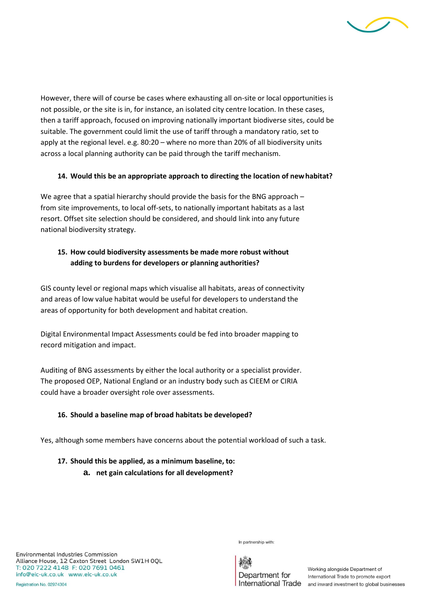

However, there will of course be cases where exhausting all on-site or local opportunities is not possible, or the site is in, for instance, an isolated city centre location. In these cases, then a tariff approach, focused on improving nationally important biodiverse sites, could be suitable. The government could limit the use of tariff through a mandatory ratio, set to apply at the regional level. e.g. 80:20 – where no more than 20% of all biodiversity units across a local planning authority can be paid through the tariff mechanism.

#### **14. Would this be an appropriate approach to directing the location of newhabitat?**

We agree that a spatial hierarchy should provide the basis for the BNG approach – from site improvements, to local off-sets, to nationally important habitats as a last resort. Offset site selection should be considered, and should link into any future national biodiversity strategy.

# **15. How could biodiversity assessments be made more robust without adding to burdens for developers or planning authorities?**

GIS county level or regional maps which visualise all habitats, areas of connectivity and areas of low value habitat would be useful for developers to understand the areas of opportunity for both development and habitat creation.

Digital Environmental Impact Assessments could be fed into broader mapping to record mitigation and impact.

Auditing of BNG assessments by either the local authority or a specialist provider. The proposed OEP, National England or an industry body such as CIEEM or CIRIA could have a broader oversight role over assessments.

### **16. Should a baseline map of broad habitats be developed?**

Yes, although some members have concerns about the potential workload of such a task.

### **17. Should this be applied, as a minimum baseline, to:**

**a. net gain calculations for all development?**

In partnership with:



Department for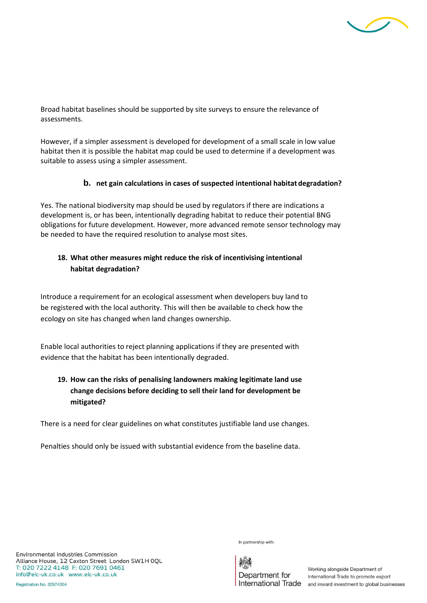

Broad habitat baselines should be supported by site surveys to ensure the relevance of assessments.

However, if a simpler assessment is developed for development of a small scale in low value habitat then it is possible the habitat map could be used to determine if a development was suitable to assess using a simpler assessment.

#### **b. net gain calculations in cases of suspected intentional habitat degradation?**

Yes. The national biodiversity map should be used by regulators if there are indications a development is, or has been, intentionally degrading habitat to reduce their potential BNG obligations for future development. However, more advanced remote sensor technology may be needed to have the required resolution to analyse most sites.

## **18. What other measures might reduce the risk of incentivising intentional habitat degradation?**

Introduce a requirement for an ecological assessment when developers buy land to be registered with the local authority. This will then be available to check how the ecology on site has changed when land changes ownership.

Enable local authorities to reject planning applications if they are presented with evidence that the habitat has been intentionally degraded.

# **19. How can the risks of penalising landowners making legitimate land use change decisions before deciding to sell their land for development be mitigated?**

There is a need for clear guidelines on what constitutes justifiable land use changes.

Penalties should only be issued with substantial evidence from the baseline data.

Environmental Industries Commission Alliance House, 12 Caxton Street London SW1H OQL T: 020 7222 4148 F: 020 7691 0461 info@eic-uk.co.uk www.eic-uk.co.uk

In partnership with:

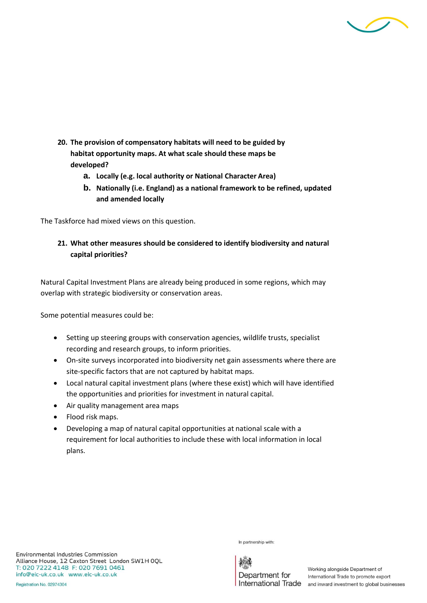

- **20. The provision of compensatory habitats will need to be guided by habitat opportunity maps. At what scale should these maps be developed?**
	- **a. Locally (e.g. local authority or National Character Area)**
	- **b. Nationally (i.e. England) as a national framework to be refined, updated and amended locally**

The Taskforce had mixed views on this question.

### **21. What other measures should be considered to identify biodiversity and natural capital priorities?**

Natural Capital Investment Plans are already being produced in some regions, which may overlap with strategic biodiversity or conservation areas.

Some potential measures could be:

- Setting up steering groups with conservation agencies, wildlife trusts, specialist recording and research groups, to inform priorities.
- On-site surveys incorporated into biodiversity net gain assessments where there are site-specific factors that are not captured by habitat maps.
- Local natural capital investment plans (where these exist) which will have identified the opportunities and priorities for investment in natural capital.
- Air quality management area maps
- Flood risk maps.
- Developing a map of natural capital opportunities at national scale with a requirement for local authorities to include these with local information in local plans.

Environmental Industries Commission Alliance House, 12 Caxton Street London SW1H OQL T: 020 7222 4148 F: 020 7691 0461 info@eic-uk.co.uk www.eic-uk.co.uk

In partnership with:

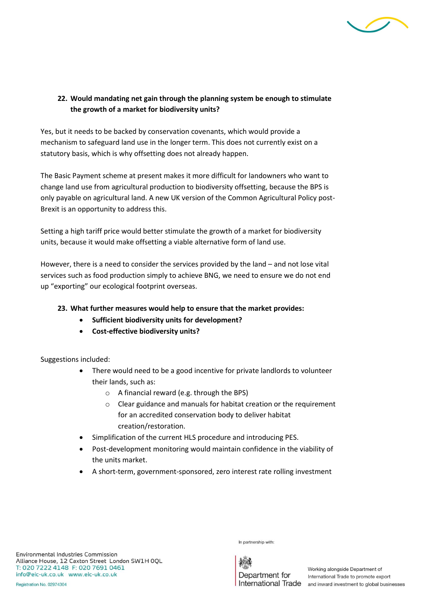

### **22. Would mandating net gain through the planning system be enough to stimulate the growth of a market for biodiversity units?**

Yes, but it needs to be backed by conservation covenants, which would provide a mechanism to safeguard land use in the longer term. This does not currently exist on a statutory basis, which is why offsetting does not already happen.

The Basic Payment scheme at present makes it more difficult for landowners who want to change land use from agricultural production to biodiversity offsetting, because the BPS is only payable on agricultural land. A new UK version of the Common Agricultural Policy post-Brexit is an opportunity to address this.

Setting a high tariff price would better stimulate the growth of a market for biodiversity units, because it would make offsetting a viable alternative form of land use.

However, there is a need to consider the services provided by the land – and not lose vital services such as food production simply to achieve BNG, we need to ensure we do not end up "exporting" our ecological footprint overseas.

### **23. What further measures would help to ensure that the market provides:**

- **Sufficient biodiversity units for development?**
- **Cost-effective biodiversity units?**

Suggestions included:

- There would need to be a good incentive for private landlords to volunteer their lands, such as:
	- o A financial reward (e.g. through the BPS)
	- o Clear guidance and manuals for habitat creation or the requirement for an accredited conservation body to deliver habitat creation/restoration.
- Simplification of the current HLS procedure and introducing PES.
- Post-development monitoring would maintain confidence in the viability of the units market.
- A short-term, government-sponsored, zero interest rate rolling investment

Environmental Industries Commission Alliance House, 12 Caxton Street London SW1H OQL T: 020 7222 4148 F: 020 7691 0461 info@eic-uk.co.uk www.eic-uk.co.uk

In partnership with:

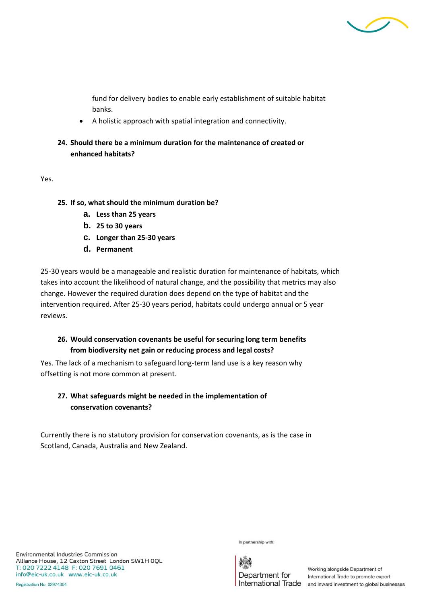

fund for delivery bodies to enable early establishment of suitable habitat banks.

- A holistic approach with spatial integration and connectivity.
- **24. Should there be a minimum duration for the maintenance of created or enhanced habitats?**

Yes.

- **25. If so, what should the minimum duration be?**
	- **a. Less than 25 years**
	- **b. 25 to 30 years**
	- **c. Longer than 25-30 years**
	- **d. Permanent**

25-30 years would be a manageable and realistic duration for maintenance of habitats, which takes into account the likelihood of natural change, and the possibility that metrics may also change. However the required duration does depend on the type of habitat and the intervention required. After 25-30 years period, habitats could undergo annual or 5 year reviews.

### **26. Would conservation covenants be useful for securing long term benefits from biodiversity net gain or reducing process and legal costs?**

Yes. The lack of a mechanism to safeguard long-term land use is a key reason why offsetting is not more common at present.

## **27. What safeguards might be needed in the implementation of conservation covenants?**

Currently there is no statutory provision for conservation covenants, as is the case in Scotland, Canada, Australia and New Zealand.

Environmental Industries Commission Alliance House, 12 Caxton Street London SW1H OQL T: 020 7222 4148 F: 020 7691 0461 info@eic-uk.co.uk www.eic-uk.co.uk

In partnership with:

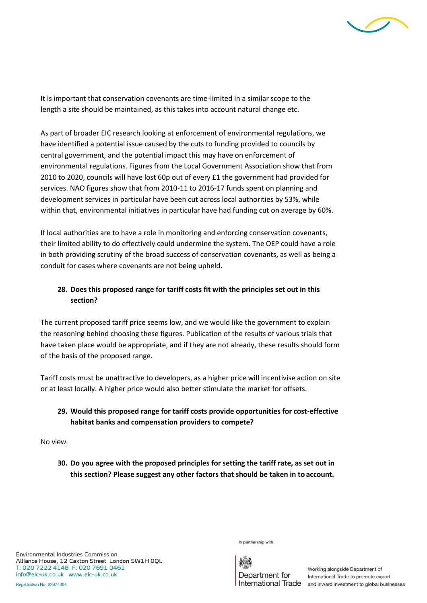

It is important that conservation covenants are time-limited in a similar scope to the length a site should be maintained, as this takes into account natural change etc.

As part of broader EIC research looking at enforcement of environmental regulations, we have identified a potential issue caused by the cuts to funding provided to councils by central government, and the potential impact this may have on enforcement of environmental regulations. Figures from the Local Government Association show that from 2010 to 2020, councils will have lost 60p out of every £1 the government had provided for services. NAO figures show that from 2010-11 to 2016-17 funds spent on planning and development services in particular have been cut across local authorities by 53%, while within that, environmental initiatives in particular have had funding cut on average by 60%.

If local authorities are to have a role in monitoring and enforcing conservation covenants, their limited ability to do effectively could undermine the system. The OEP could have a role in both providing scrutiny of the broad success of conservation covenants, as well as being a conduit for cases where covenants are not being upheld.

## **28. Does this proposed range for tariff costs fit with the principles set out in this section?**

The current proposed tariff price seems low, and we would like the government to explain the reasoning behind choosing these figures. Publication of the results of various trials that have taken place would be appropriate, and if they are not already, these results should form of the basis of the proposed range.

Tariff costs must be unattractive to developers, as a higher price will incentivise action on site or at least locally. A higher price would also better stimulate the market for offsets.

# **29. Would this proposed range for tariff costs provide opportunities for cost-effective habitat banks and compensation providers to compete?**

No view.

**30. Do you agree with the proposed principles for setting the tariff rate, as set out in this section? Please suggest any other factors that should be taken in to account.**

In partnership with:

Environmental Industries Commission Alliance House, 12 Caxton Street London SW1H OQL T: 020 7222 4148 F: 020 7691 0461 info@eic-uk.co.uk www.eic-uk.co.uk

Department for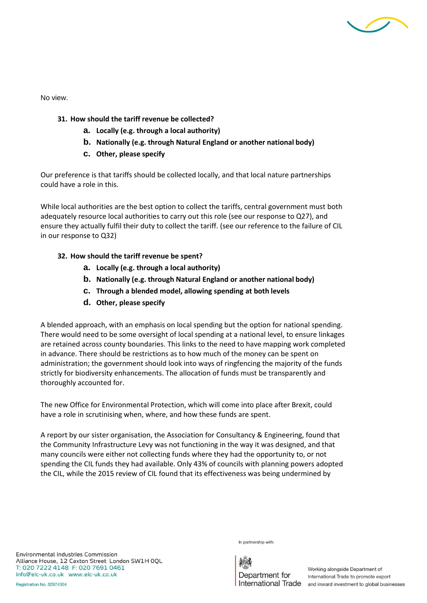

No view.

- **31. How should the tariff revenue be collected?**
	- **a. Locally (e.g. through a local authority)**
	- **b. Nationally (e.g. through Natural England or another national body)**
	- **c. Other, please specify**

Our preference is that tariffs should be collected locally, and that local nature partnerships could have a role in this.

While local authorities are the best option to collect the tariffs, central government must both adequately resource local authorities to carry out this role (see our response to Q27), and ensure they actually fulfil their duty to collect the tariff. (see our reference to the failure of CIL in our response to Q32)

#### **32. How should the tariff revenue be spent?**

- **a. Locally (e.g. through a local authority)**
- **b. Nationally (e.g. through Natural England or another national body)**
- **c. Through a blended model, allowing spending at both levels**
- **d. Other, please specify**

A blended approach, with an emphasis on local spending but the option for national spending. There would need to be some oversight of local spending at a national level, to ensure linkages are retained across county boundaries. This links to the need to have mapping work completed in advance. There should be restrictions as to how much of the money can be spent on administration; the government should look into ways of ringfencing the majority of the funds strictly for biodiversity enhancements. The allocation of funds must be transparently and thoroughly accounted for.

The new Office for Environmental Protection, which will come into place after Brexit, could have a role in scrutinising when, where, and how these funds are spent.

A report by our sister organisation, the Association for Consultancy & Engineering, found that the Community Infrastructure Levy was not functioning in the way it was designed, and that many councils were either not collecting funds where they had the opportunity to, or not spending the CIL funds they had available. Only 43% of councils with planning powers adopted the CIL, while the 2015 review of CIL found that its effectiveness was being undermined by

Environmental Industries Commission Alliance House, 12 Caxton Street London SW1H OQL T: 020 7222 4148 F: 020 7691 0461 info@eic-uk.co.uk www.eic-uk.co.uk

In partnership with:

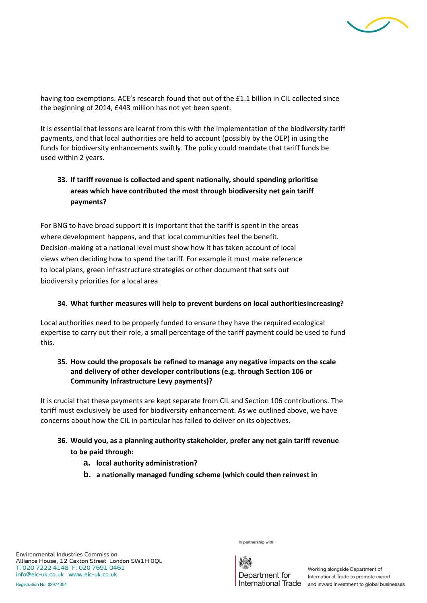

having too exemptions. ACE's research found that out of the £1.1 billion in CIL collected since the beginning of 2014, £443 million has not yet been spent.

It is essential that lessons are learnt from this with the implementation of the biodiversity tariff payments, and that local authorities are held to account (possibly by the OEP) in using the funds for biodiversity enhancements swiftly. The policy could mandate that tariff funds be used within 2 years.

# **33. If tariff revenue is collected and spent nationally, should spending prioritise areas which have contributed the most through biodiversity net gain tariff payments?**

For BNG to have broad support it is important that the tariff is spent in the areas where development happens, and that local communities feel the benefit. Decision-making at a national level must show how it has taken account of local views when deciding how to spend the tariff. For example it must make reference to local plans, green infrastructure strategies or other document that sets out biodiversity priorities for a local area.

#### **34. What further measures will help to prevent burdens on local authoritiesincreasing?**

Local authorities need to be properly funded to ensure they have the required ecological expertise to carry out their role, a small percentage of the tariff payment could be used to fund this.

### **35. How could the proposals be refined to manage any negative impacts on the scale and delivery of other developer contributions (e.g. through Section 106 or Community Infrastructure Levy payments)?**

It is crucial that these payments are kept separate from CIL and Section 106 contributions. The tariff must exclusively be used for biodiversity enhancement. As we outlined above, we have concerns about how the CIL in particular has failed to deliver on its objectives.

### **36. Would you, as a planning authority stakeholder, prefer any net gain tariff revenue to be paid through:**

- **a. local authority administration?**
- **b. a nationally managed funding scheme (which could then reinvest in**

Environmental Industries Commission Alliance House, 12 Caxton Street London SW1H OQL T: 020 7222 4148 F: 020 7691 0461 info@eic-uk.co.uk www.eic-uk.co.uk

In partnership with:

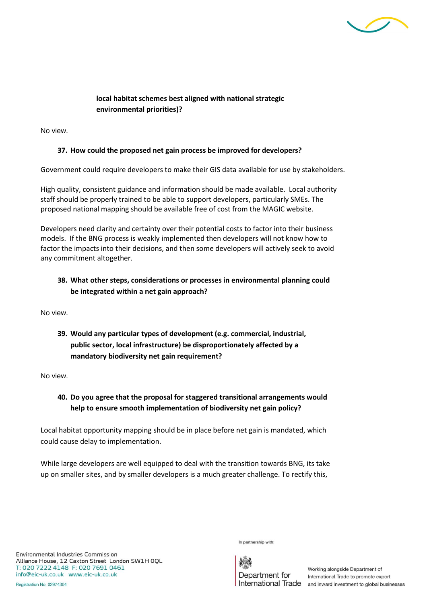

### **local habitat schemes best aligned with national strategic environmental priorities)?**

No view.

### **37. How could the proposed net gain process be improved for developers?**

Government could require developers to make their GIS data available for use by stakeholders.

High quality, consistent guidance and information should be made available. Local authority staff should be properly trained to be able to support developers, particularly SMEs. The proposed national mapping should be available free of cost from the MAGIC website.

Developers need clarity and certainty over their potential costs to factor into their business models. If the BNG process is weakly implemented then developers will not know how to factor the impacts into their decisions, and then some developers will actively seek to avoid any commitment altogether.

### **38. What other steps, considerations or processes in environmental planning could be integrated within a net gain approach?**

No view.

**39. Would any particular types of development (e.g. commercial, industrial, public sector, local infrastructure) be disproportionately affected by a mandatory biodiversity net gain requirement?**

No view.

# **40. Do you agree that the proposal for staggered transitional arrangements would help to ensure smooth implementation of biodiversity net gain policy?**

Local habitat opportunity mapping should be in place before net gain is mandated, which could cause delay to implementation.

While large developers are well equipped to deal with the transition towards BNG, its take up on smaller sites, and by smaller developers is a much greater challenge. To rectify this,

In partnership with:

Department for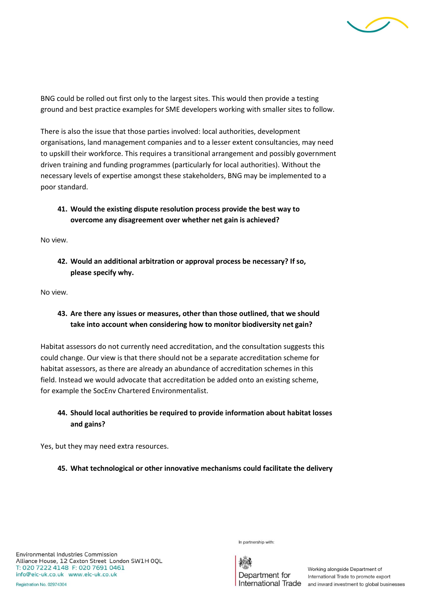

BNG could be rolled out first only to the largest sites. This would then provide a testing ground and best practice examples for SME developers working with smaller sites to follow.

There is also the issue that those parties involved: local authorities, development organisations, land management companies and to a lesser extent consultancies, may need to upskill their workforce. This requires a transitional arrangement and possibly government driven training and funding programmes (particularly for local authorities). Without the necessary levels of expertise amongst these stakeholders, BNG may be implemented to a poor standard.

## **41. Would the existing dispute resolution process provide the best way to overcome any disagreement over whether net gain is achieved?**

No view.

**42. Would an additional arbitration or approval process be necessary? If so, please specify why.**

No view.

### **43. Are there any issues or measures, other than those outlined, that we should take into account when considering how to monitor biodiversity net gain?**

Habitat assessors do not currently need accreditation, and the consultation suggests this could change. Our view is that there should not be a separate accreditation scheme for habitat assessors, as there are already an abundance of accreditation schemes in this field. Instead we would advocate that accreditation be added onto an existing scheme, for example the SocEnv Chartered Environmentalist.

## **44. Should local authorities be required to provide information about habitat losses and gains?**

Yes, but they may need extra resources.

#### **45. What technological or other innovative mechanisms could facilitate the delivery**

Environmental Industries Commission Alliance House, 12 Caxton Street London SW1H OQL T: 020 7222 4148 F: 020 7691 0461 info@eic-uk.co.uk www.eic-uk.co.uk

In partnership with: